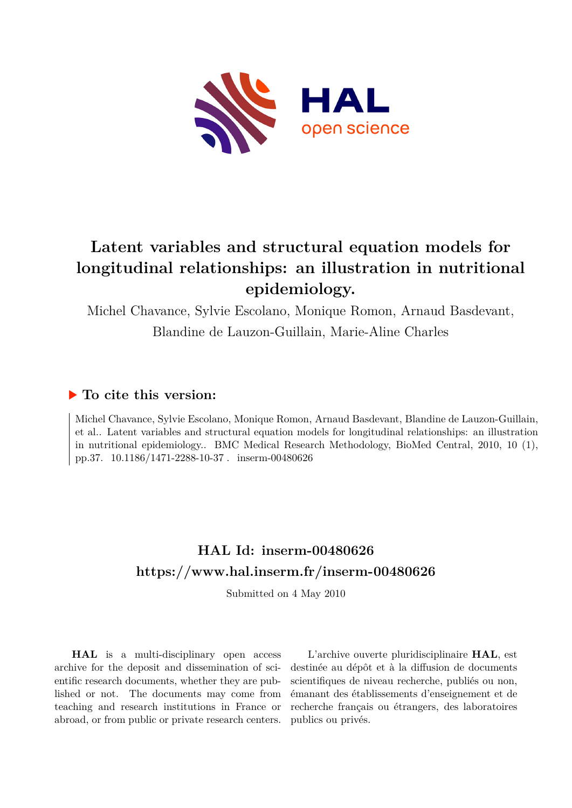

# **Latent variables and structural equation models for longitudinal relationships: an illustration in nutritional epidemiology.**

Michel Chavance, Sylvie Escolano, Monique Romon, Arnaud Basdevant,

Blandine de Lauzon-Guillain, Marie-Aline Charles

## **To cite this version:**

Michel Chavance, Sylvie Escolano, Monique Romon, Arnaud Basdevant, Blandine de Lauzon-Guillain, et al.. Latent variables and structural equation models for longitudinal relationships: an illustration in nutritional epidemiology.. BMC Medical Research Methodology, BioMed Central, 2010, 10 (1), pp.37. 10.1186/1471-2288-10-37 . inserm-00480626

# **HAL Id: inserm-00480626 <https://www.hal.inserm.fr/inserm-00480626>**

Submitted on 4 May 2010

**HAL** is a multi-disciplinary open access archive for the deposit and dissemination of scientific research documents, whether they are published or not. The documents may come from teaching and research institutions in France or abroad, or from public or private research centers.

L'archive ouverte pluridisciplinaire **HAL**, est destinée au dépôt et à la diffusion de documents scientifiques de niveau recherche, publiés ou non, émanant des établissements d'enseignement et de recherche français ou étrangers, des laboratoires publics ou privés.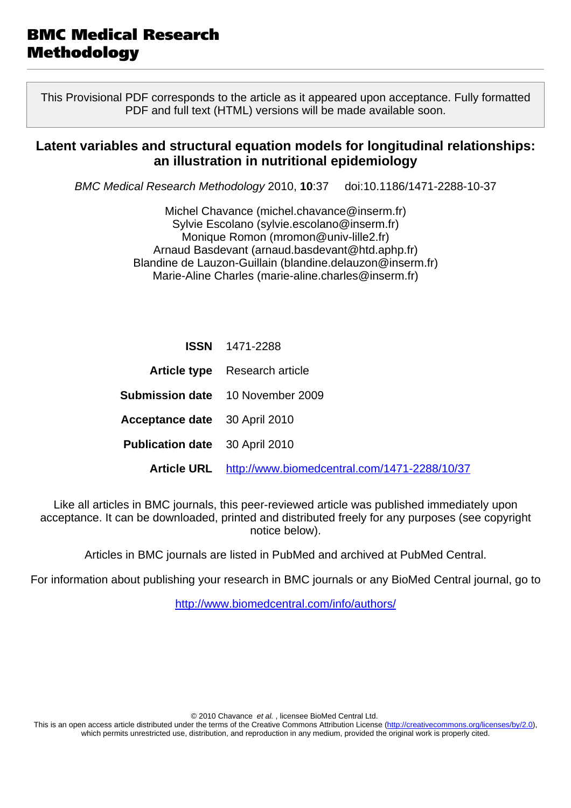This Provisional PDF corresponds to the article as it appeared upon acceptance. Fully formatted PDF and full text (HTML) versions will be made available soon.

## **Latent variables and structural equation models for longitudinal relationships: an illustration in nutritional epidemiology**

BMC Medical Research Methodology 2010, **10**:37 doi:10.1186/1471-2288-10-37

Michel Chavance [\(michel.chavance@inserm.fr](mailto:michel.chavance@inserm.fr)) Sylvie Escolano ([sylvie.escolano@inserm.fr\)](mailto:sylvie.escolano@inserm.fr) Monique Romon ([mromon@univ-lille2.fr\)](mailto:mromon@univ-lille2.fr) Arnaud Basdevant ([arnaud.basdevant@htd.aphp.fr](mailto:arnaud.basdevant@htd.aphp.fr)) Blandine de Lauzon-Guillain [\(blandine.delauzon@inserm.fr](mailto:blandine.delauzon@inserm.fr)) Marie-Aline Charles ([marie-aline.charles@inserm.fr](mailto:marie-aline.charles@inserm.fr))

|                                       | <b>ISSN</b> 1471-2288                        |
|---------------------------------------|----------------------------------------------|
|                                       | <b>Article type</b> Research article         |
|                                       | <b>Submission date</b> 10 November 2009      |
| <b>Acceptance date</b> 30 April 2010  |                                              |
| <b>Publication date</b> 30 April 2010 |                                              |
| <b>Article URL</b>                    | http://www.biomedcentral.com/1471-2288/10/37 |

Like all articles in BMC journals, this peer-reviewed article was published immediately upon acceptance. It can be downloaded, printed and distributed freely for any purposes (see copyright notice below).

Articles in BMC journals are listed in PubMed and archived at PubMed Central.

For information about publishing your research in BMC journals or any BioMed Central journal, go to

<http://www.biomedcentral.com/info/authors/>

© 2010 Chavance et al. , licensee BioMed Central Ltd.

This is an open access article distributed under the terms of the Creative Commons Attribution License [\(http://creativecommons.org/licenses/by/2.0](http://creativecommons.org/licenses/by/2.0)), which permits unrestricted use, distribution, and reproduction in any medium, provided the original work is properly cited.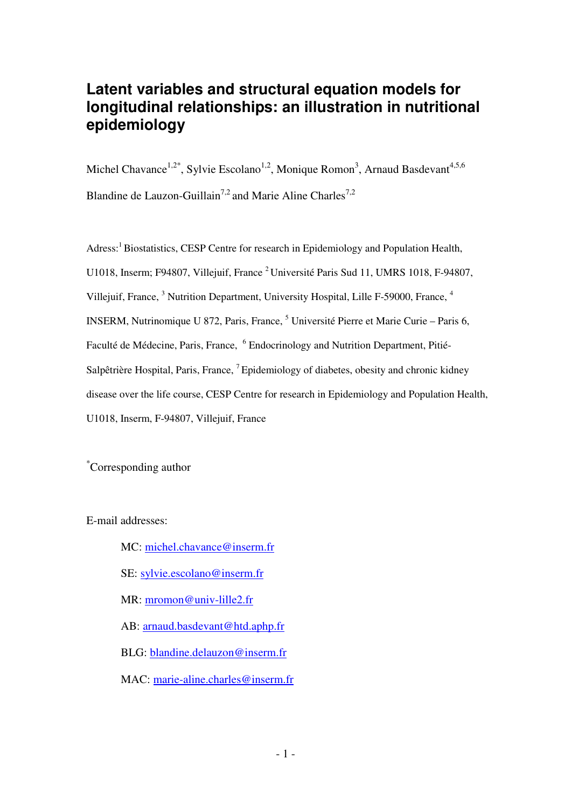# **Latent variables and structural equation models for longitudinal relationships: an illustration in nutritional epidemiology**

Michel Chavance<sup>1,2\*</sup>, Sylvie Escolano<sup>1,2</sup>, Monique Romon<sup>3</sup>, Arnaud Basdevant<sup>4,5,6</sup> Blandine de Lauzon-Guillain<sup>7,2</sup> and Marie Aline Charles<sup>7,2</sup>

Adress:<sup>1</sup> Biostatistics, CESP Centre for research in Epidemiology and Population Health, U1018, Inserm; F94807, Villejuif, France<sup>2</sup> Université Paris Sud 11, UMRS 1018, F-94807, Villejuif, France, <sup>3</sup> Nutrition Department, University Hospital, Lille F-59000, France, <sup>4</sup> INSERM, Nutrinomique U 872, Paris, France, <sup>5</sup> Université Pierre et Marie Curie – Paris 6, Faculté de Médecine, Paris, France, <sup>6</sup> Endocrinology and Nutrition Department, Pitié-Salpêtrière Hospital, Paris, France, <sup>7</sup>Epidemiology of diabetes, obesity and chronic kidney disease over the life course, CESP Centre for research in Epidemiology and Population Health, U1018, Inserm, F-94807, Villejuif, France

\*Corresponding author

E-mail addresses:

MC: michel.chavance@inserm.fr SE: sylvie.escolano@inserm.fr MR: mromon@univ-lille2.fr AB: arnaud.basdevant@htd.aphp.fr BLG: blandine.delauzon@inserm.fr MAC: marie-aline.charles@inserm.fr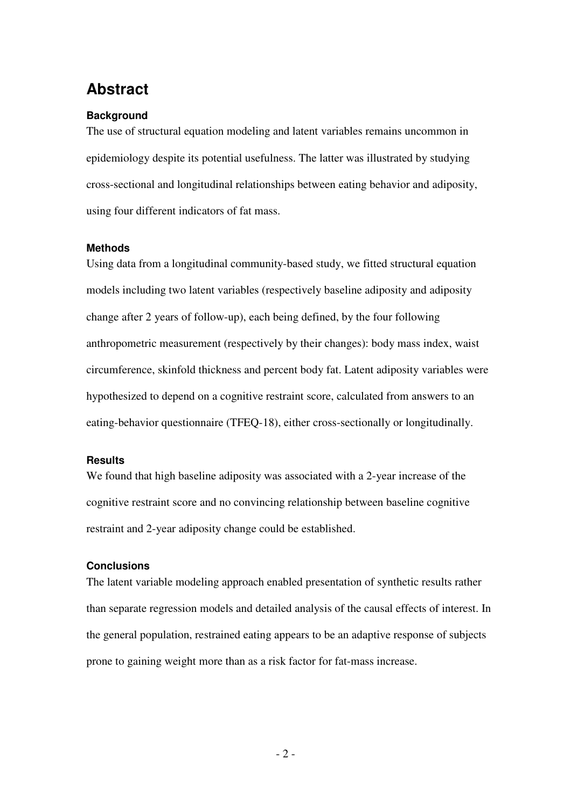# **Abstract**

### **Background**

The use of structural equation modeling and latent variables remains uncommon in epidemiology despite its potential usefulness. The latter was illustrated by studying cross-sectional and longitudinal relationships between eating behavior and adiposity, using four different indicators of fat mass.

### **Methods**

Using data from a longitudinal community-based study, we fitted structural equation models including two latent variables (respectively baseline adiposity and adiposity change after 2 years of follow-up), each being defined, by the four following anthropometric measurement (respectively by their changes): body mass index, waist circumference, skinfold thickness and percent body fat. Latent adiposity variables were hypothesized to depend on a cognitive restraint score, calculated from answers to an eating-behavior questionnaire (TFEQ-18), either cross-sectionally or longitudinally.

### **Results**

We found that high baseline adiposity was associated with a 2-year increase of the cognitive restraint score and no convincing relationship between baseline cognitive restraint and 2-year adiposity change could be established.

### **Conclusions**

The latent variable modeling approach enabled presentation of synthetic results rather than separate regression models and detailed analysis of the causal effects of interest. In the general population, restrained eating appears to be an adaptive response of subjects prone to gaining weight more than as a risk factor for fat-mass increase.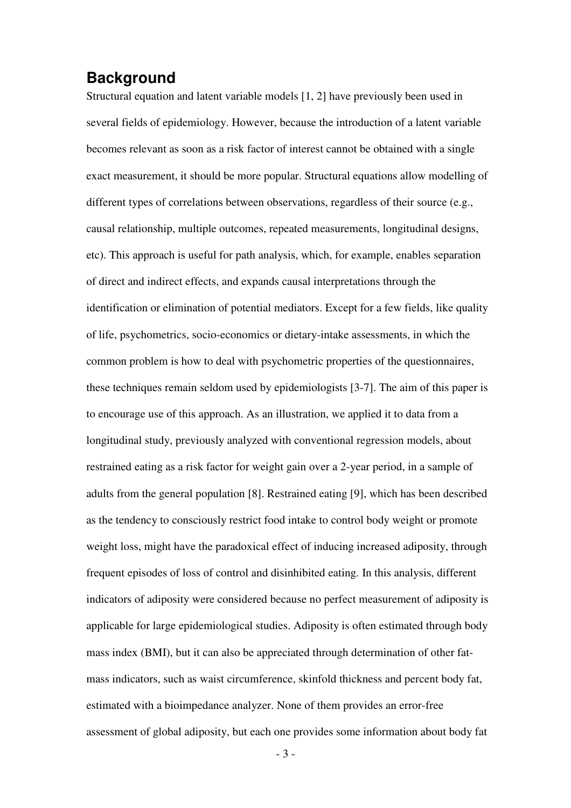## **Background**

Structural equation and latent variable models [1, 2] have previously been used in several fields of epidemiology. However, because the introduction of a latent variable becomes relevant as soon as a risk factor of interest cannot be obtained with a single exact measurement, it should be more popular. Structural equations allow modelling of different types of correlations between observations, regardless of their source (e.g., causal relationship, multiple outcomes, repeated measurements, longitudinal designs, etc). This approach is useful for path analysis, which, for example, enables separation of direct and indirect effects, and expands causal interpretations through the identification or elimination of potential mediators. Except for a few fields, like quality of life, psychometrics, socio-economics or dietary-intake assessments, in which the common problem is how to deal with psychometric properties of the questionnaires, these techniques remain seldom used by epidemiologists [3-7]. The aim of this paper is to encourage use of this approach. As an illustration, we applied it to data from a longitudinal study, previously analyzed with conventional regression models, about restrained eating as a risk factor for weight gain over a 2-year period, in a sample of adults from the general population [8]. Restrained eating [9], which has been described as the tendency to consciously restrict food intake to control body weight or promote weight loss, might have the paradoxical effect of inducing increased adiposity, through frequent episodes of loss of control and disinhibited eating. In this analysis, different indicators of adiposity were considered because no perfect measurement of adiposity is applicable for large epidemiological studies. Adiposity is often estimated through body mass index (BMI), but it can also be appreciated through determination of other fatmass indicators, such as waist circumference, skinfold thickness and percent body fat, estimated with a bioimpedance analyzer. None of them provides an error-free assessment of global adiposity, but each one provides some information about body fat

 $-3-$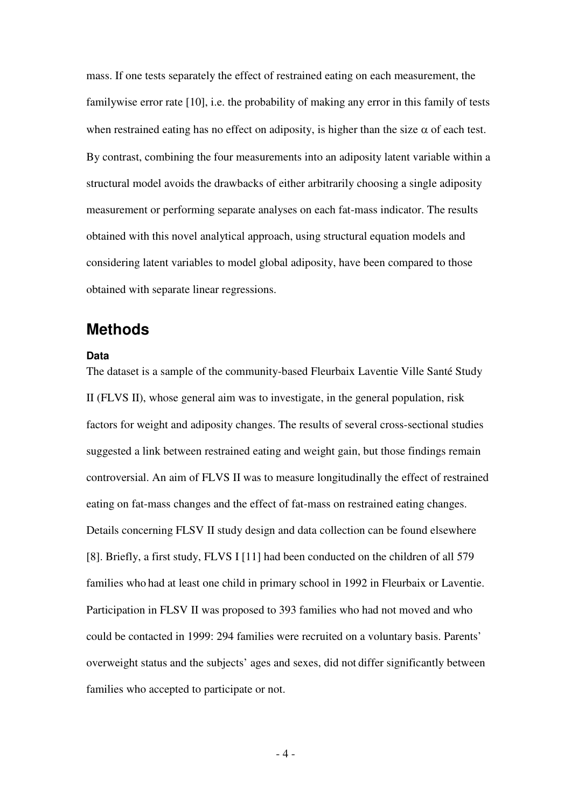mass. If one tests separately the effect of restrained eating on each measurement, the familywise error rate [10], i.e. the probability of making any error in this family of tests when restrained eating has no effect on adiposity, is higher than the size  $\alpha$  of each test. By contrast, combining the four measurements into an adiposity latent variable within a structural model avoids the drawbacks of either arbitrarily choosing a single adiposity measurement or performing separate analyses on each fat-mass indicator. The results obtained with this novel analytical approach, using structural equation models and considering latent variables to model global adiposity, have been compared to those obtained with separate linear regressions.

## **Methods**

### **Data**

The dataset is a sample of the community-based Fleurbaix Laventie Ville Santé Study II (FLVS II), whose general aim was to investigate, in the general population, risk factors for weight and adiposity changes. The results of several cross-sectional studies suggested a link between restrained eating and weight gain, but those findings remain controversial. An aim of FLVS II was to measure longitudinally the effect of restrained eating on fat-mass changes and the effect of fat-mass on restrained eating changes. Details concerning FLSV II study design and data collection can be found elsewhere [8]. Briefly, a first study, FLVS I [11] had been conducted on the children of all 579 families who had at least one child in primary school in 1992 in Fleurbaix or Laventie. Participation in FLSV II was proposed to 393 families who had not moved and who could be contacted in 1999: 294 families were recruited on a voluntary basis. Parents' overweight status and the subjects' ages and sexes, did not differ significantly between families who accepted to participate or not.

 $-4-$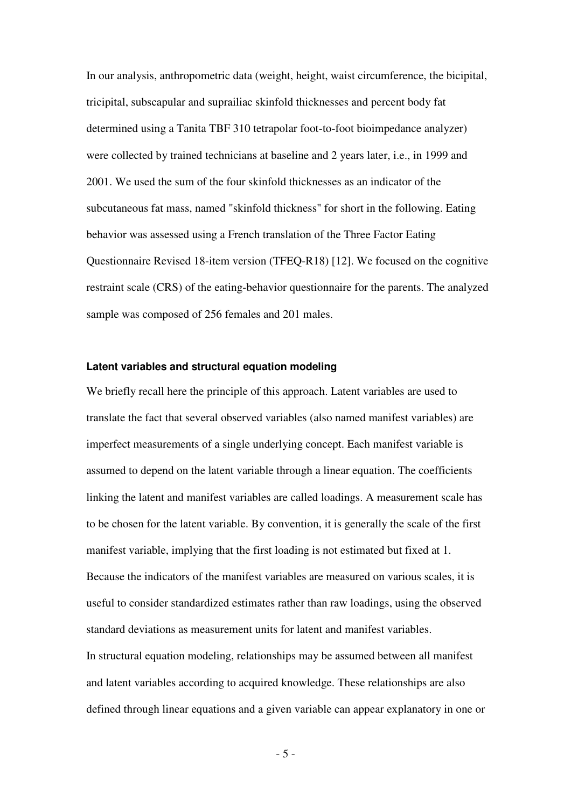In our analysis, anthropometric data (weight, height, waist circumference, the bicipital, tricipital, subscapular and suprailiac skinfold thicknesses and percent body fat determined using a Tanita TBF 310 tetrapolar foot-to-foot bioimpedance analyzer) were collected by trained technicians at baseline and 2 years later, i.e., in 1999 and 2001. We used the sum of the four skinfold thicknesses as an indicator of the subcutaneous fat mass, named "skinfold thickness" for short in the following. Eating behavior was assessed using a French translation of the Three Factor Eating Questionnaire Revised 18-item version (TFEQ-R18) [12]. We focused on the cognitive restraint scale (CRS) of the eating-behavior questionnaire for the parents. The analyzed sample was composed of 256 females and 201 males.

#### **Latent variables and structural equation modeling**

We briefly recall here the principle of this approach. Latent variables are used to translate the fact that several observed variables (also named manifest variables) are imperfect measurements of a single underlying concept. Each manifest variable is assumed to depend on the latent variable through a linear equation. The coefficients linking the latent and manifest variables are called loadings. A measurement scale has to be chosen for the latent variable. By convention, it is generally the scale of the first manifest variable, implying that the first loading is not estimated but fixed at 1. Because the indicators of the manifest variables are measured on various scales, it is useful to consider standardized estimates rather than raw loadings, using the observed standard deviations as measurement units for latent and manifest variables. In structural equation modeling, relationships may be assumed between all manifest and latent variables according to acquired knowledge. These relationships are also defined through linear equations and a given variable can appear explanatory in one or

 $-5 -$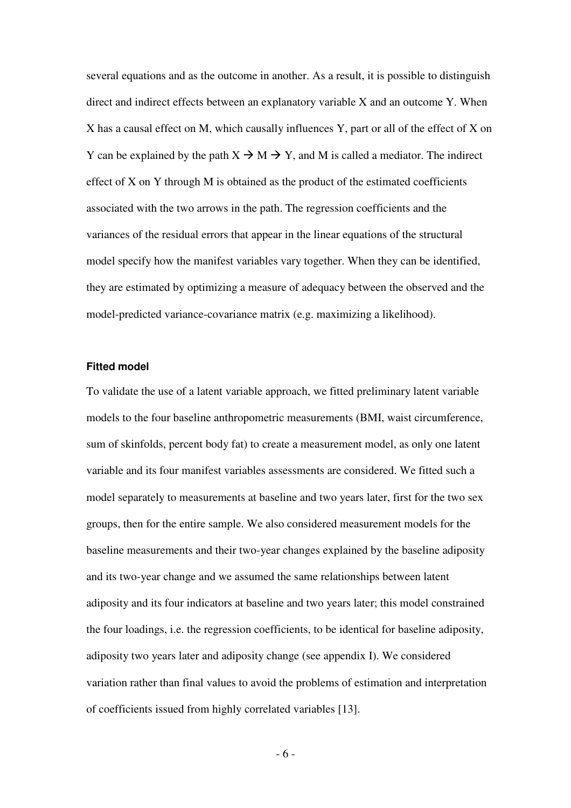several equations and as the outcome in another. As a result, it is possible to distinguish direct and indirect effects between an explanatory variable X and an outcome Y. When X has a causal effect on M, which causally influences Y, part or all of the effect of X on Y can be explained by the path  $X \to M \to Y$ , and M is called a mediator. The indirect effect of X on Y through M is obtained as the product of the estimated coefficients associated with the two arrows in the path. The regression coefficients and the variances of the residual errors that appear in the linear equations of the structural model specify how the manifest variables vary together. When they can be identified, they are estimated by optimizing a measure of adequacy between the observed and the model-predicted variance-covariance matrix (e.g. maximizing a likelihood).

#### **Fitted model**

To validate the use of a latent variable approach, we fitted preliminary latent variable models to the four baseline anthropometric measurements (BMI, waist circumference, sum of skinfolds, percent body fat) to create a measurement model, as only one latent variable and its four manifest variables assessments are considered. We fitted such a model separately to measurements at baseline and two years later, first for the two sex groups, then for the entire sample. We also considered measurement models for the baseline measurements and their two-year changes explained by the baseline adiposity and its two-year change and we assumed the same relationships between latent adiposity and its four indicators at baseline and two years later; this model constrained the four loadings, i.e. the regression coefficients, to be identical for baseline adiposity, adiposity two years later and adiposity change (see appendix I). We considered variation rather than final values to avoid the problems of estimation and interpretation of coefficients issued from highly correlated variables [13].

 $-6-$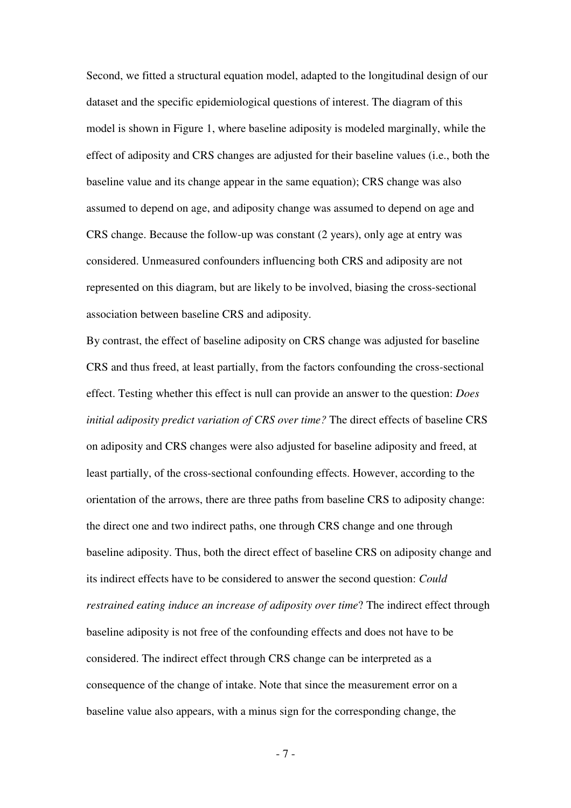Second, we fitted a structural equation model, adapted to the longitudinal design of our dataset and the specific epidemiological questions of interest. The diagram of this model is shown in Figure 1, where baseline adiposity is modeled marginally, while the effect of adiposity and CRS changes are adjusted for their baseline values (i.e., both the baseline value and its change appear in the same equation); CRS change was also assumed to depend on age, and adiposity change was assumed to depend on age and CRS change. Because the follow-up was constant (2 years), only age at entry was considered. Unmeasured confounders influencing both CRS and adiposity are not represented on this diagram, but are likely to be involved, biasing the cross-sectional association between baseline CRS and adiposity.

By contrast, the effect of baseline adiposity on CRS change was adjusted for baseline CRS and thus freed, at least partially, from the factors confounding the cross-sectional effect. Testing whether this effect is null can provide an answer to the question: *Does initial adiposity predict variation of CRS over time?* The direct effects of baseline CRS on adiposity and CRS changes were also adjusted for baseline adiposity and freed, at least partially, of the cross-sectional confounding effects. However, according to the orientation of the arrows, there are three paths from baseline CRS to adiposity change: the direct one and two indirect paths, one through CRS change and one through baseline adiposity. Thus, both the direct effect of baseline CRS on adiposity change and its indirect effects have to be considered to answer the second question: *Could restrained eating induce an increase of adiposity over time*? The indirect effect through baseline adiposity is not free of the confounding effects and does not have to be considered. The indirect effect through CRS change can be interpreted as a consequence of the change of intake. Note that since the measurement error on a baseline value also appears, with a minus sign for the corresponding change, the

- 7 -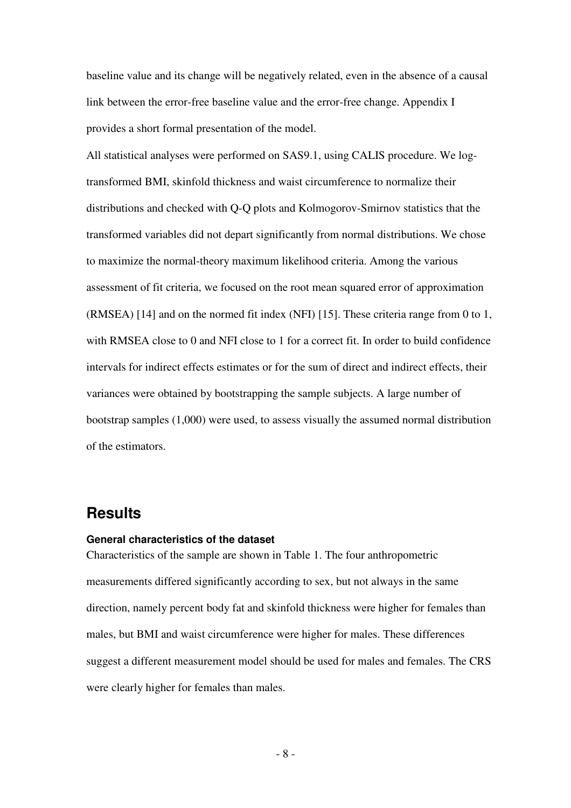baseline value and its change will be negatively related, even in the absence of a causal link between the error-free baseline value and the error-free change. Appendix I provides a short formal presentation of the model.

All statistical analyses were performed on SAS9.1, using CALIS procedure. We logtransformed BMI, skinfold thickness and waist circumference to normalize their distributions and checked with Q-Q plots and Kolmogorov-Smirnov statistics that the transformed variables did not depart significantly from normal distributions. We chose to maximize the normal-theory maximum likelihood criteria. Among the various assessment of fit criteria, we focused on the root mean squared error of approximation (RMSEA) [14] and on the normed fit index (NFI) [15]. These criteria range from 0 to 1, with RMSEA close to 0 and NFI close to 1 for a correct fit. In order to build confidence intervals for indirect effects estimates or for the sum of direct and indirect effects, their variances were obtained by bootstrapping the sample subjects. A large number of bootstrap samples (1,000) were used, to assess visually the assumed normal distribution of the estimators.

## **Results**

#### **General characteristics of the dataset**

Characteristics of the sample are shown in Table 1. The four anthropometric measurements differed significantly according to sex, but not always in the same direction, namely percent body fat and skinfold thickness were higher for females than males, but BMI and waist circumference were higher for males. These differences suggest a different measurement model should be used for males and females. The CRS were clearly higher for females than males.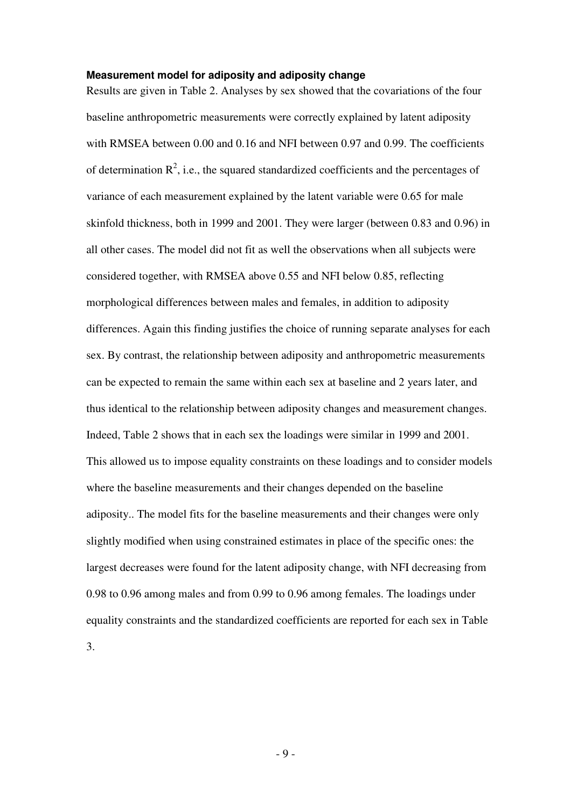#### **Measurement model for adiposity and adiposity change**

Results are given in Table 2. Analyses by sex showed that the covariations of the four baseline anthropometric measurements were correctly explained by latent adiposity with RMSEA between 0.00 and 0.16 and NFI between 0.97 and 0.99. The coefficients of determination  $\mathbb{R}^2$ , i.e., the squared standardized coefficients and the percentages of variance of each measurement explained by the latent variable were 0.65 for male skinfold thickness, both in 1999 and 2001. They were larger (between 0.83 and 0.96) in all other cases. The model did not fit as well the observations when all subjects were considered together, with RMSEA above 0.55 and NFI below 0.85, reflecting morphological differences between males and females, in addition to adiposity differences. Again this finding justifies the choice of running separate analyses for each sex. By contrast, the relationship between adiposity and anthropometric measurements can be expected to remain the same within each sex at baseline and 2 years later, and thus identical to the relationship between adiposity changes and measurement changes. Indeed, Table 2 shows that in each sex the loadings were similar in 1999 and 2001. This allowed us to impose equality constraints on these loadings and to consider models where the baseline measurements and their changes depended on the baseline adiposity.. The model fits for the baseline measurements and their changes were only slightly modified when using constrained estimates in place of the specific ones: the largest decreases were found for the latent adiposity change, with NFI decreasing from 0.98 to 0.96 among males and from 0.99 to 0.96 among females. The loadings under equality constraints and the standardized coefficients are reported for each sex in Table

3.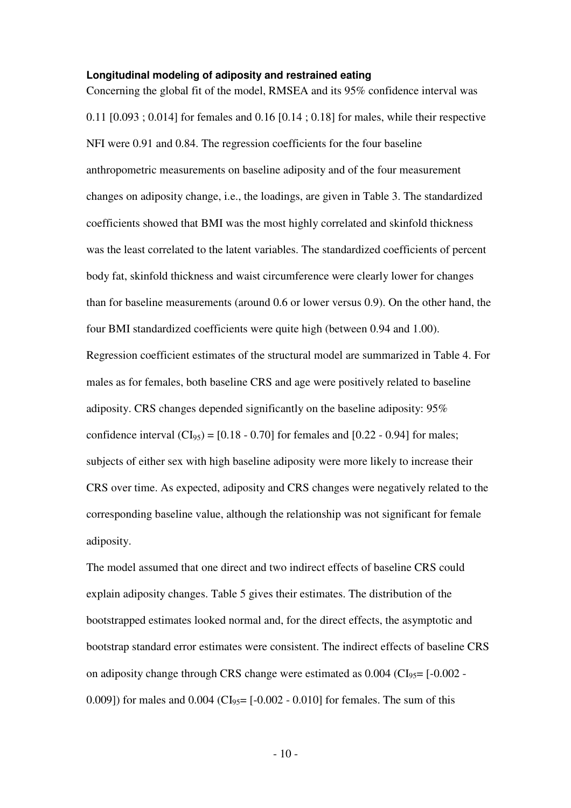#### **Longitudinal modeling of adiposity and restrained eating**

Concerning the global fit of the model, RMSEA and its 95% confidence interval was 0.11 [0.093 ; 0.014] for females and 0.16 [0.14 ; 0.18] for males, while their respective NFI were 0.91 and 0.84. The regression coefficients for the four baseline anthropometric measurements on baseline adiposity and of the four measurement changes on adiposity change, i.e., the loadings, are given in Table 3. The standardized coefficients showed that BMI was the most highly correlated and skinfold thickness was the least correlated to the latent variables. The standardized coefficients of percent body fat, skinfold thickness and waist circumference were clearly lower for changes than for baseline measurements (around 0.6 or lower versus 0.9). On the other hand, the four BMI standardized coefficients were quite high (between 0.94 and 1.00). Regression coefficient estimates of the structural model are summarized in Table 4. For males as for females, both baseline CRS and age were positively related to baseline adiposity. CRS changes depended significantly on the baseline adiposity: 95% confidence interval  $(CI_{95}) = [0.18 - 0.70]$  for females and  $[0.22 - 0.94]$  for males; subjects of either sex with high baseline adiposity were more likely to increase their CRS over time. As expected, adiposity and CRS changes were negatively related to the corresponding baseline value, although the relationship was not significant for female adiposity.

The model assumed that one direct and two indirect effects of baseline CRS could explain adiposity changes. Table 5 gives their estimates. The distribution of the bootstrapped estimates looked normal and, for the direct effects, the asymptotic and bootstrap standard error estimates were consistent. The indirect effects of baseline CRS on adiposity change through CRS change were estimated as  $0.004$  (CI<sub>95</sub>= [- $0.002$  -0.009]) for males and  $0.004$  (CI<sub>95</sub>= [-0.002 - 0.010] for females. The sum of this

 $-10-$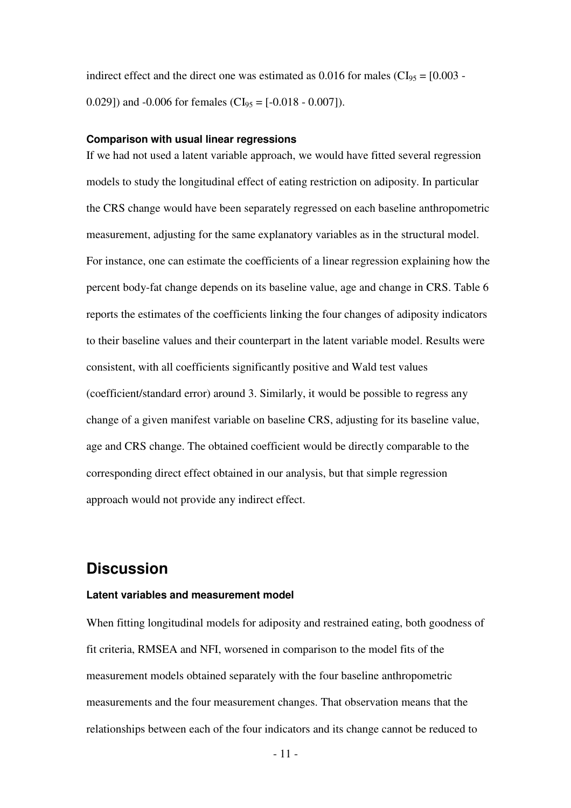indirect effect and the direct one was estimated as  $0.016$  for males (CI<sub>95</sub> = [0.003 -0.029]) and -0.006 for females (CI<sub>95</sub> = [-0.018 - 0.007]).

#### **Comparison with usual linear regressions**

If we had not used a latent variable approach, we would have fitted several regression models to study the longitudinal effect of eating restriction on adiposity. In particular the CRS change would have been separately regressed on each baseline anthropometric measurement, adjusting for the same explanatory variables as in the structural model. For instance, one can estimate the coefficients of a linear regression explaining how the percent body-fat change depends on its baseline value, age and change in CRS. Table 6 reports the estimates of the coefficients linking the four changes of adiposity indicators to their baseline values and their counterpart in the latent variable model. Results were consistent, with all coefficients significantly positive and Wald test values (coefficient/standard error) around 3. Similarly, it would be possible to regress any change of a given manifest variable on baseline CRS, adjusting for its baseline value, age and CRS change. The obtained coefficient would be directly comparable to the corresponding direct effect obtained in our analysis, but that simple regression approach would not provide any indirect effect.

## **Discussion**

#### **Latent variables and measurement model**

When fitting longitudinal models for adiposity and restrained eating, both goodness of fit criteria, RMSEA and NFI, worsened in comparison to the model fits of the measurement models obtained separately with the four baseline anthropometric measurements and the four measurement changes. That observation means that the relationships between each of the four indicators and its change cannot be reduced to

 $-11$  -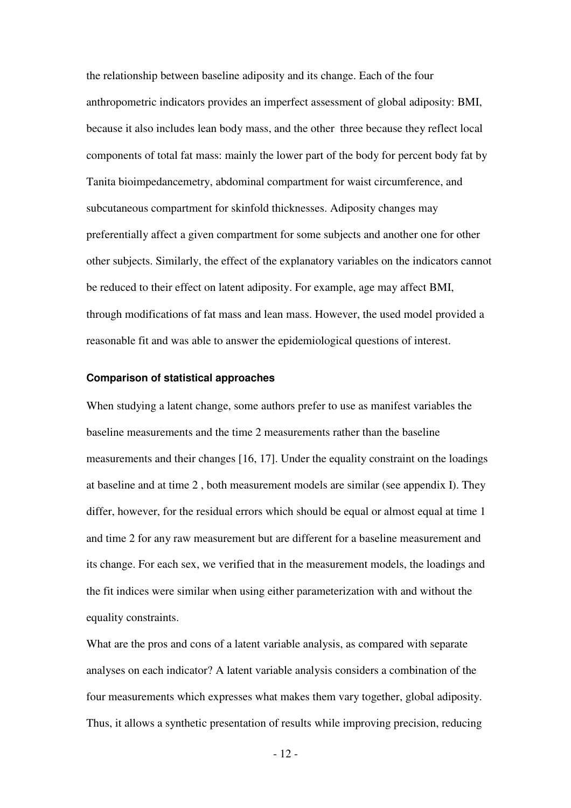the relationship between baseline adiposity and its change. Each of the four anthropometric indicators provides an imperfect assessment of global adiposity: BMI, because it also includes lean body mass, and the other three because they reflect local components of total fat mass: mainly the lower part of the body for percent body fat by Tanita bioimpedancemetry, abdominal compartment for waist circumference, and subcutaneous compartment for skinfold thicknesses. Adiposity changes may preferentially affect a given compartment for some subjects and another one for other other subjects. Similarly, the effect of the explanatory variables on the indicators cannot be reduced to their effect on latent adiposity. For example, age may affect BMI, through modifications of fat mass and lean mass. However, the used model provided a reasonable fit and was able to answer the epidemiological questions of interest.

#### **Comparison of statistical approaches**

When studying a latent change, some authors prefer to use as manifest variables the baseline measurements and the time 2 measurements rather than the baseline measurements and their changes [16, 17]. Under the equality constraint on the loadings at baseline and at time 2 , both measurement models are similar (see appendix I). They differ, however, for the residual errors which should be equal or almost equal at time 1 and time 2 for any raw measurement but are different for a baseline measurement and its change. For each sex, we verified that in the measurement models, the loadings and the fit indices were similar when using either parameterization with and without the equality constraints.

What are the pros and cons of a latent variable analysis, as compared with separate analyses on each indicator? A latent variable analysis considers a combination of the four measurements which expresses what makes them vary together, global adiposity. Thus, it allows a synthetic presentation of results while improving precision, reducing

 $-12$  -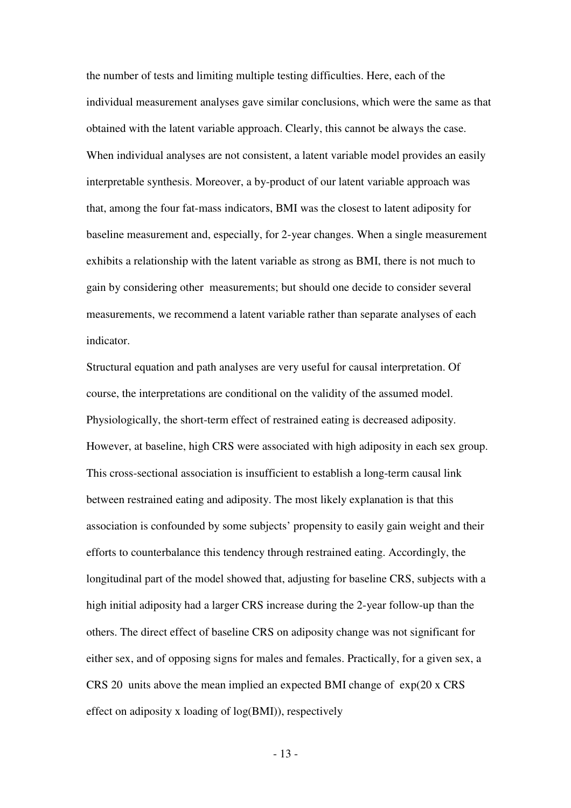the number of tests and limiting multiple testing difficulties. Here, each of the individual measurement analyses gave similar conclusions, which were the same as that obtained with the latent variable approach. Clearly, this cannot be always the case. When individual analyses are not consistent, a latent variable model provides an easily interpretable synthesis. Moreover, a by-product of our latent variable approach was that, among the four fat-mass indicators, BMI was the closest to latent adiposity for baseline measurement and, especially, for 2-year changes. When a single measurement exhibits a relationship with the latent variable as strong as BMI, there is not much to gain by considering other measurements; but should one decide to consider several measurements, we recommend a latent variable rather than separate analyses of each indicator.

Structural equation and path analyses are very useful for causal interpretation. Of course, the interpretations are conditional on the validity of the assumed model. Physiologically, the short-term effect of restrained eating is decreased adiposity. However, at baseline, high CRS were associated with high adiposity in each sex group. This cross-sectional association is insufficient to establish a long-term causal link between restrained eating and adiposity. The most likely explanation is that this association is confounded by some subjects' propensity to easily gain weight and their efforts to counterbalance this tendency through restrained eating. Accordingly, the longitudinal part of the model showed that, adjusting for baseline CRS, subjects with a high initial adiposity had a larger CRS increase during the 2-year follow-up than the others. The direct effect of baseline CRS on adiposity change was not significant for either sex, and of opposing signs for males and females. Practically, for a given sex, a CRS 20 units above the mean implied an expected BMI change of exp(20 x CRS effect on adiposity x loading of log(BMI)), respectively

- 13 -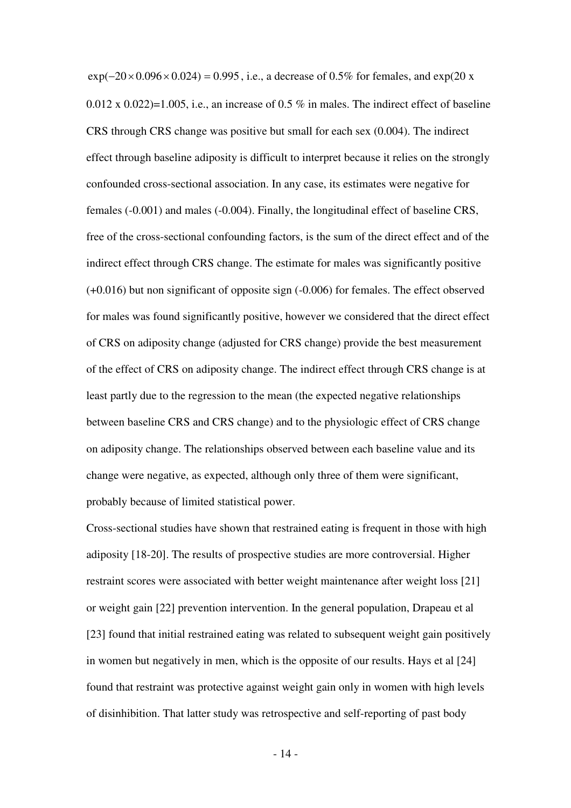$\exp(-20 \times 0.096 \times 0.024) = 0.995$ , i.e., a decrease of 0.5% for females, and  $\exp(20 \times 0.096 \times 0.024)$  $0.012 \times 0.022$ =1.005, i.e., an increase of 0.5 % in males. The indirect effect of baseline CRS through CRS change was positive but small for each sex (0.004). The indirect effect through baseline adiposity is difficult to interpret because it relies on the strongly confounded cross-sectional association. In any case, its estimates were negative for females (-0.001) and males (-0.004). Finally, the longitudinal effect of baseline CRS, free of the cross-sectional confounding factors, is the sum of the direct effect and of the indirect effect through CRS change. The estimate for males was significantly positive (+0.016) but non significant of opposite sign (-0.006) for females. The effect observed for males was found significantly positive, however we considered that the direct effect of CRS on adiposity change (adjusted for CRS change) provide the best measurement of the effect of CRS on adiposity change. The indirect effect through CRS change is at least partly due to the regression to the mean (the expected negative relationships between baseline CRS and CRS change) and to the physiologic effect of CRS change on adiposity change. The relationships observed between each baseline value and its change were negative, as expected, although only three of them were significant, probably because of limited statistical power.

Cross-sectional studies have shown that restrained eating is frequent in those with high adiposity [18-20]. The results of prospective studies are more controversial. Higher restraint scores were associated with better weight maintenance after weight loss [21] or weight gain [22] prevention intervention. In the general population, Drapeau et al [23] found that initial restrained eating was related to subsequent weight gain positively in women but negatively in men, which is the opposite of our results. Hays et al [24] found that restraint was protective against weight gain only in women with high levels of disinhibition. That latter study was retrospective and self-reporting of past body

- 14 -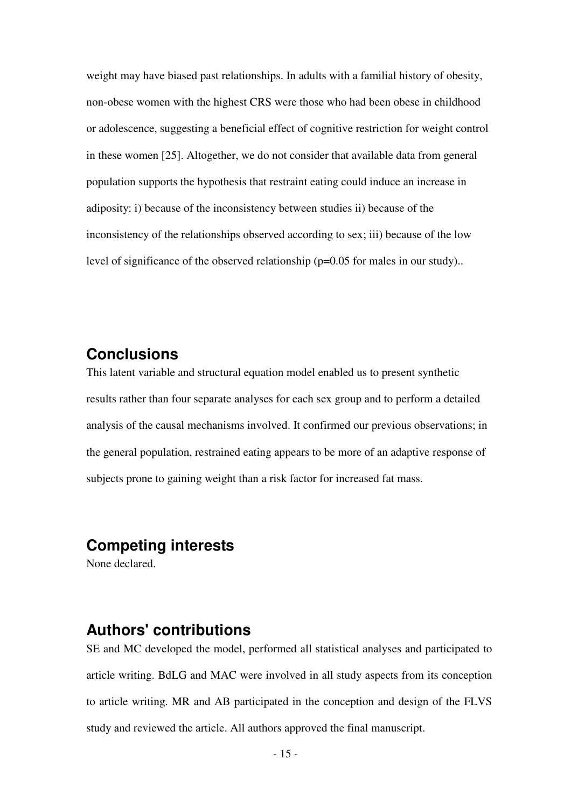weight may have biased past relationships. In adults with a familial history of obesity, non-obese women with the highest CRS were those who had been obese in childhood or adolescence, suggesting a beneficial effect of cognitive restriction for weight control in these women [25]. Altogether, we do not consider that available data from general population supports the hypothesis that restraint eating could induce an increase in adiposity: i) because of the inconsistency between studies ii) because of the inconsistency of the relationships observed according to sex; iii) because of the low level of significance of the observed relationship (p=0.05 for males in our study)..

# **Conclusions**

This latent variable and structural equation model enabled us to present synthetic results rather than four separate analyses for each sex group and to perform a detailed analysis of the causal mechanisms involved. It confirmed our previous observations; in the general population, restrained eating appears to be more of an adaptive response of subjects prone to gaining weight than a risk factor for increased fat mass.

# **Competing interests**

None declared.

# **Authors' contributions**

SE and MC developed the model, performed all statistical analyses and participated to article writing. BdLG and MAC were involved in all study aspects from its conception to article writing. MR and AB participated in the conception and design of the FLVS study and reviewed the article. All authors approved the final manuscript.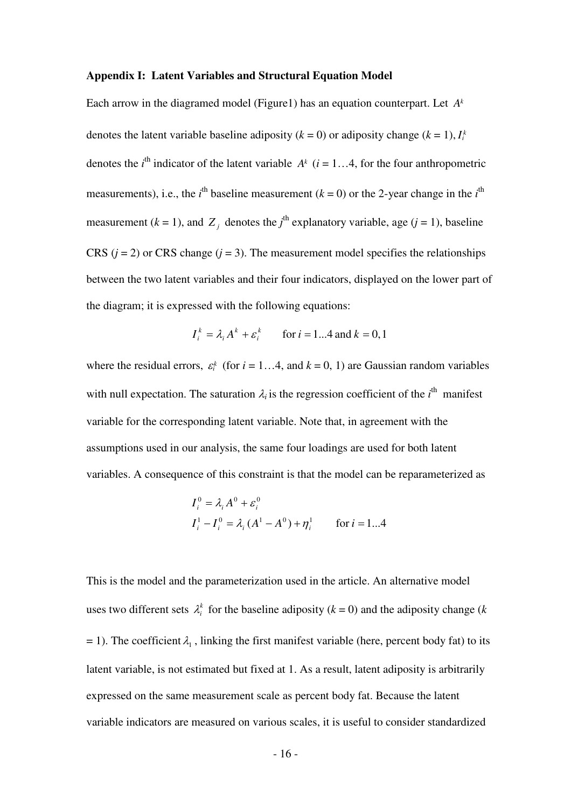#### **Appendix I: Latent Variables and Structural Equation Model**

Each arrow in the diagramed model (Figure1) has an equation counterpart. Let *A<sup>k</sup>* denotes the latent variable baseline adiposity  $(k = 0)$  or adiposity change  $(k = 1)$ ,  $I_i^k$ denotes the *i*<sup>th</sup> indicator of the latent variable  $A^k$  (*i* = 1...4, for the four anthropometric measurements), i.e., the *i*<sup>th</sup> baseline measurement ( $k = 0$ ) or the 2-year change in the *i*<sup>th</sup> measurement ( $k = 1$ ), and  $Z_j$  denotes the *j*<sup>th</sup> explanatory variable, age ( $j = 1$ ), baseline CRS  $(i = 2)$  or CRS change  $(i = 3)$ . The measurement model specifies the relationships between the two latent variables and their four indicators, displayed on the lower part of the diagram; it is expressed with the following equations:

$$
I_i^k = \lambda_i A^k + \varepsilon_i^k
$$
 for  $i = 1...4$  and  $k = 0, 1$ 

where the residual errors,  $\varepsilon_i^k$  (for  $i = 1...4$ , and  $k = 0, 1$ ) are Gaussian random variables with null expectation. The saturation  $\lambda_i$  is the regression coefficient of the  $i^{\text{th}}$  manifest variable for the corresponding latent variable. Note that, in agreement with the assumptions used in our analysis, the same four loadings are used for both latent variables. A consequence of this constraint is that the model can be reparameterized as

$$
I_i^0 = \lambda_i A^0 + \varepsilon_i^0
$$
  
\n
$$
I_i^1 - I_i^0 = \lambda_i (A^1 - A^0) + \eta_i^1 \qquad \text{for } i = 1...4
$$

This is the model and the parameterization used in the article. An alternative model uses two different sets  $\lambda_i^k$  for the baseline adiposity ( $k = 0$ ) and the adiposity change ( $k$  $= 1$ ). The coefficient  $\lambda_1$ , linking the first manifest variable (here, percent body fat) to its latent variable, is not estimated but fixed at 1. As a result, latent adiposity is arbitrarily expressed on the same measurement scale as percent body fat. Because the latent variable indicators are measured on various scales, it is useful to consider standardized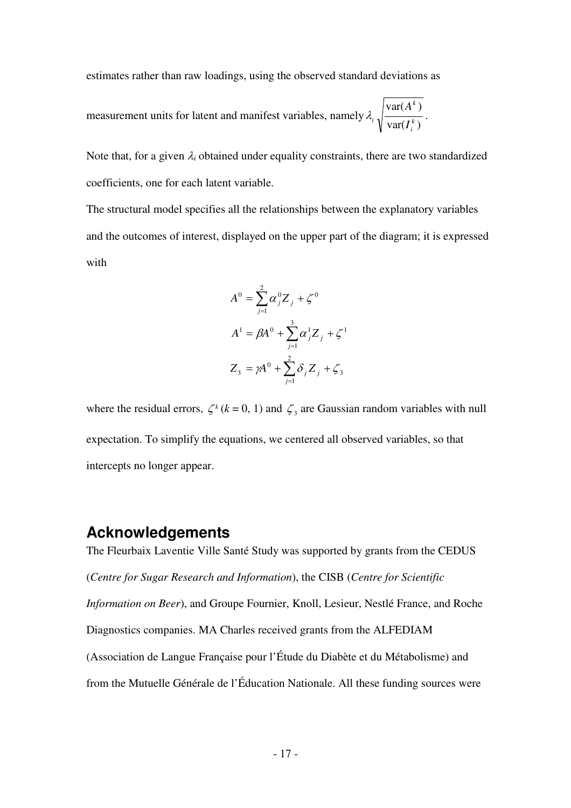estimates rather than raw loadings, using the observed standard deviations as

measurement units for latent and manifest variables, namely  $var(I_i^k)$  $\text{var}(A^k)$ *k i k*  $\sqrt[i]{\text{var}(I)}$ *A*  $\lambda_{i,j}$   $\frac{\lambda_{i,j}}{\lambda_{i,j}}$ .

Note that, for a given  $\lambda_i$  obtained under equality constraints, there are two standardized coefficients, one for each latent variable.

The structural model specifies all the relationships between the explanatory variables and the outcomes of interest, displayed on the upper part of the diagram; it is expressed with

$$
A^{0} = \sum_{j=1}^{2} \alpha_{j}^{0} Z_{j} + \zeta^{0}
$$
  

$$
A^{1} = \beta A^{0} + \sum_{j=1}^{3} \alpha_{j}^{1} Z_{j} + \zeta^{1}
$$
  

$$
Z_{3} = \gamma A^{0} + \sum_{j=1}^{2} \delta_{j} Z_{j} + \zeta_{3}
$$

where the residual errors,  $\zeta^k$  ( $k = 0, 1$ ) and  $\zeta_3$  are Gaussian random variables with null expectation. To simplify the equations, we centered all observed variables, so that intercepts no longer appear.

## **Acknowledgements**

The Fleurbaix Laventie Ville Santé Study was supported by grants from the CEDUS (*Centre for Sugar Research and Information*), the CISB (*Centre for Scientific Information on Beer*), and Groupe Fournier, Knoll, Lesieur, Nestlé France, and Roche Diagnostics companies. MA Charles received grants from the ALFEDIAM (Association de Langue Française pour l'Étude du Diabète et du Métabolisme) and from the Mutuelle Générale de l'Éducation Nationale. All these funding sources were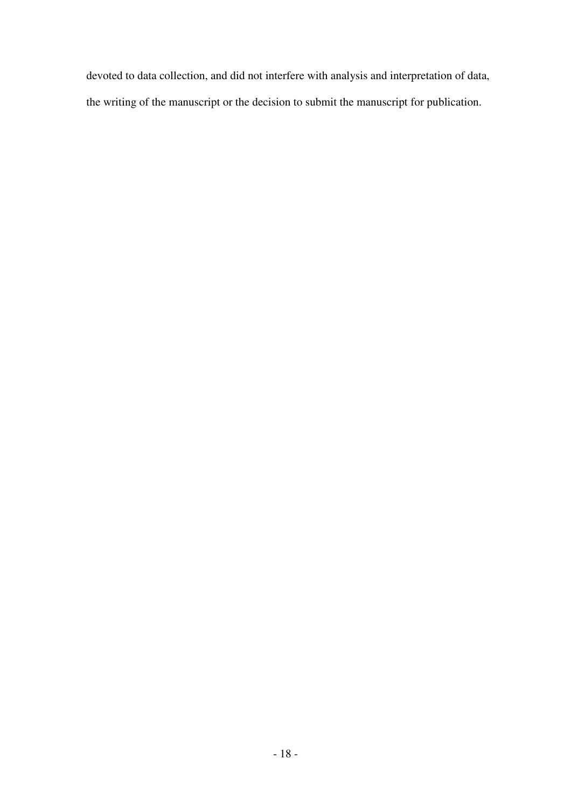devoted to data collection, and did not interfere with analysis and interpretation of data, the writing of the manuscript or the decision to submit the manuscript for publication.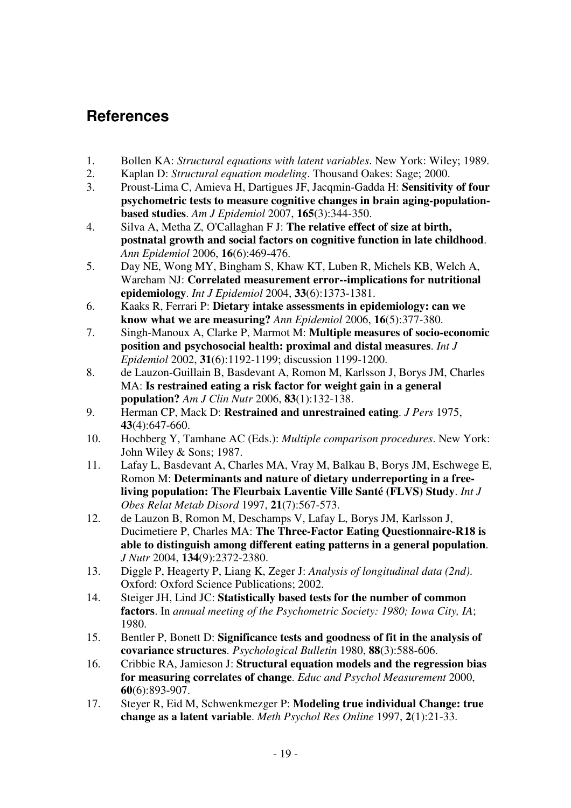# **References**

- 1. Bollen KA: *Structural equations with latent variables*. New York: Wiley; 1989.
- 2. Kaplan D: *Structural equation modeling*. Thousand Oakes: Sage; 2000.
- 3. Proust-Lima C, Amieva H, Dartigues JF, Jacqmin-Gadda H: **Sensitivity of four psychometric tests to measure cognitive changes in brain aging-populationbased studies**. *Am J Epidemiol* 2007, **165**(3):344-350.
- 4. Silva A, Metha Z, O'Callaghan F J: **The relative effect of size at birth, postnatal growth and social factors on cognitive function in late childhood**. *Ann Epidemiol* 2006, **16**(6):469-476.
- 5. Day NE, Wong MY, Bingham S, Khaw KT, Luben R, Michels KB, Welch A, Wareham NJ: **Correlated measurement error--implications for nutritional epidemiology**. *Int J Epidemiol* 2004, **33**(6):1373-1381.
- 6. Kaaks R, Ferrari P: **Dietary intake assessments in epidemiology: can we know what we are measuring?** *Ann Epidemiol* 2006, **16**(5):377-380.
- 7. Singh-Manoux A, Clarke P, Marmot M: **Multiple measures of socio-economic position and psychosocial health: proximal and distal measures**. *Int J Epidemiol* 2002, **31**(6):1192-1199; discussion 1199-1200.
- 8. de Lauzon-Guillain B, Basdevant A, Romon M, Karlsson J, Borys JM, Charles MA: **Is restrained eating a risk factor for weight gain in a general population?** *Am J Clin Nutr* 2006, **83**(1):132-138.
- 9. Herman CP, Mack D: **Restrained and unrestrained eating**. *J Pers* 1975, **43**(4):647-660.
- 10. Hochberg Y, Tamhane AC (Eds.): *Multiple comparison procedures*. New York: John Wiley & Sons; 1987.
- 11. Lafay L, Basdevant A, Charles MA, Vray M, Balkau B, Borys JM, Eschwege E, Romon M: **Determinants and nature of dietary underreporting in a freeliving population: The Fleurbaix Laventie Ville Santé (FLVS) Study**. *Int J Obes Relat Metab Disord* 1997, **21**(7):567-573.
- 12. de Lauzon B, Romon M, Deschamps V, Lafay L, Borys JM, Karlsson J, Ducimetiere P, Charles MA: **The Three-Factor Eating Questionnaire-R18 is able to distinguish among different eating patterns in a general population**. *J Nutr* 2004, **134**(9):2372-2380.
- 13. Diggle P, Heagerty P, Liang K, Zeger J: *Analysis of longitudinal data (2nd)*. Oxford: Oxford Science Publications; 2002.
- 14. Steiger JH, Lind JC: **Statistically based tests for the number of common factors**. In *annual meeting of the Psychometric Society: 1980; Iowa City, IA*; 1980.
- 15. Bentler P, Bonett D: **Significance tests and goodness of fit in the analysis of covariance structures**. *Psychological Bulletin* 1980, **88**(3):588-606.
- 16. Cribbie RA, Jamieson J: **Structural equation models and the regression bias for measuring correlates of change**. *Educ and Psychol Measurement* 2000, **60**(6):893-907.
- 17. Steyer R, Eid M, Schwenkmezger P: **Modeling true individual Change: true change as a latent variable**. *Meth Psychol Res Online* 1997, **2**(1):21-33.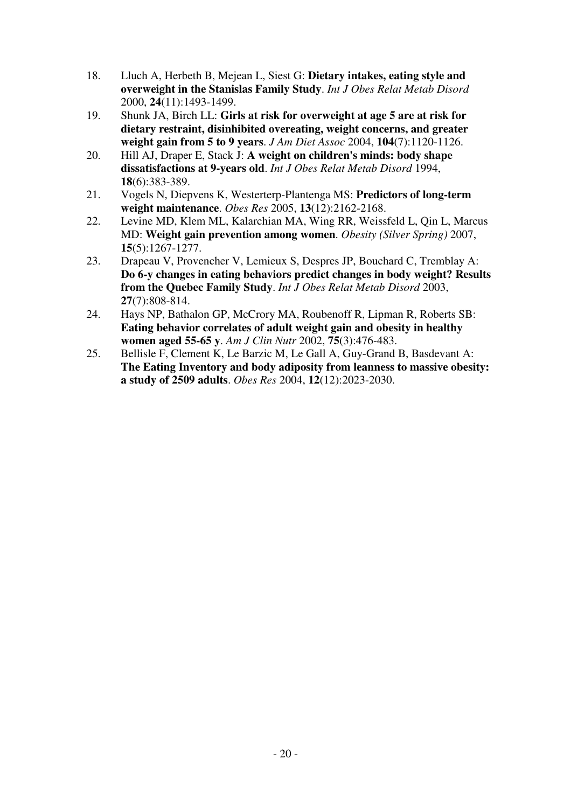- 18. Lluch A, Herbeth B, Mejean L, Siest G: **Dietary intakes, eating style and overweight in the Stanislas Family Study**. *Int J Obes Relat Metab Disord*  2000, **24**(11):1493-1499.
- 19. Shunk JA, Birch LL: **Girls at risk for overweight at age 5 are at risk for dietary restraint, disinhibited overeating, weight concerns, and greater weight gain from 5 to 9 years**. *J Am Diet Assoc* 2004, **104**(7):1120-1126.
- 20. Hill AJ, Draper E, Stack J: **A weight on children's minds: body shape dissatisfactions at 9-years old**. *Int J Obes Relat Metab Disord* 1994, **18**(6):383-389.
- 21. Vogels N, Diepvens K, Westerterp-Plantenga MS: **Predictors of long-term weight maintenance**. *Obes Res* 2005, **13**(12):2162-2168.
- 22. Levine MD, Klem ML, Kalarchian MA, Wing RR, Weissfeld L, Qin L, Marcus MD: **Weight gain prevention among women**. *Obesity (Silver Spring)* 2007, **15**(5):1267-1277.
- 23. Drapeau V, Provencher V, Lemieux S, Despres JP, Bouchard C, Tremblay A: **Do 6-y changes in eating behaviors predict changes in body weight? Results from the Quebec Family Study**. *Int J Obes Relat Metab Disord* 2003, **27**(7):808-814.
- 24. Hays NP, Bathalon GP, McCrory MA, Roubenoff R, Lipman R, Roberts SB: **Eating behavior correlates of adult weight gain and obesity in healthy women aged 55-65 y**. *Am J Clin Nutr* 2002, **75**(3):476-483.
- 25. Bellisle F, Clement K, Le Barzic M, Le Gall A, Guy-Grand B, Basdevant A: **The Eating Inventory and body adiposity from leanness to massive obesity: a study of 2509 adults**. *Obes Res* 2004, **12**(12):2023-2030.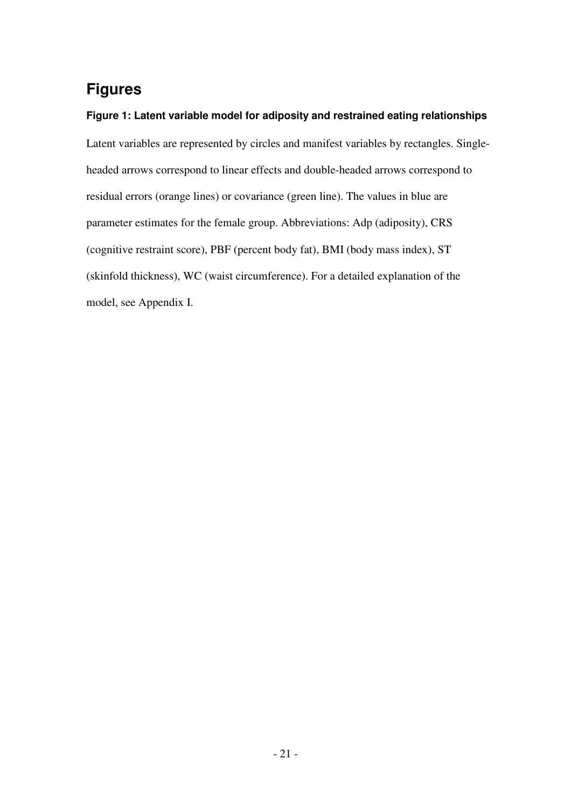# **Figures**

### **Figure 1: Latent variable model for adiposity and restrained eating relationships**

Latent variables are represented by circles and manifest variables by rectangles. Singleheaded arrows correspond to linear effects and double-headed arrows correspond to residual errors (orange lines) or covariance (green line). The values in blue are parameter estimates for the female group. Abbreviations: Adp (adiposity), CRS (cognitive restraint score), PBF (percent body fat), BMI (body mass index), ST (skinfold thickness), WC (waist circumference). For a detailed explanation of the model, see Appendix I.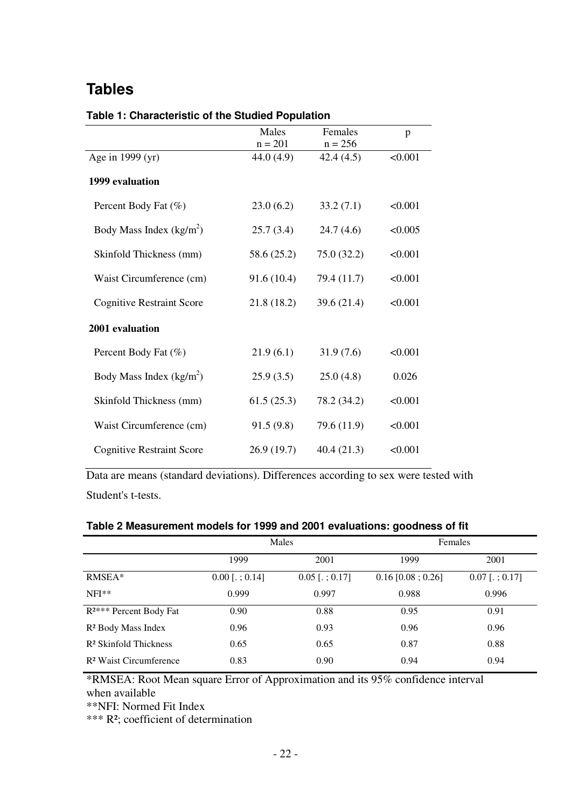# **Tables**

|                                  | Males<br>$n = 201$ | Females<br>$n = 256$ | p       |  |  |
|----------------------------------|--------------------|----------------------|---------|--|--|
| Age in 1999 (yr)                 | 44.0 (4.9)         | 42.4(4.5)            | < 0.001 |  |  |
| 1999 evaluation                  |                    |                      |         |  |  |
| Percent Body Fat (%)             | 23.0(6.2)          | 33.2(7.1)            | < 0.001 |  |  |
| Body Mass Index $(kg/m2)$        | 25.7(3.4)          | 24.7(4.6)            | < 0.005 |  |  |
| Skinfold Thickness (mm)          | 58.6 (25.2)        | 75.0 (32.2)          | < 0.001 |  |  |
| Waist Circumference (cm)         | 91.6(10.4)         | 79.4 (11.7)          | < 0.001 |  |  |
| <b>Cognitive Restraint Score</b> | 21.8(18.2)         | 39.6 (21.4)          | < 0.001 |  |  |
| 2001 evaluation                  |                    |                      |         |  |  |
| Percent Body Fat (%)             | 21.9(6.1)          | 31.9(7.6)            | < 0.001 |  |  |
| Body Mass Index $(kg/m2)$        | 25.9(3.5)          | 25.0(4.8)            | 0.026   |  |  |
| Skinfold Thickness (mm)          | 61.5(25.3)         | 78.2 (34.2)          | < 0.001 |  |  |
| Waist Circumference (cm)         | 91.5(9.8)          | 79.6 (11.9)          | < 0.001 |  |  |
| <b>Cognitive Restraint Score</b> | 26.9 (19.7)        | 40.4(21.3)           | < 0.001 |  |  |

### **Table 1: Characteristic of the Studied Population**

Data are means (standard deviations). Differences according to sex were tested with Student's t-tests.

### **Table 2 Measurement models for 1999 and 2001 evaluations: goodness of fit**

|                                    |                             | Males                       | Females              |                  |  |
|------------------------------------|-----------------------------|-----------------------------|----------------------|------------------|--|
|                                    | 1999                        | 2001                        | 1999                 | 2001             |  |
| RMSEA*                             | $0.00$ [ $\therefore$ 0.14] | $0.05$ [ $\therefore$ 0.17] | $0.16$ [0.08 ; 0.26] | $0.07$ [.; 0.17] |  |
| $NFI**$                            | 0.999                       | 0.997                       | 0.988                | 0.996            |  |
| R <sup>2***</sup> Percent Body Fat | 0.90                        | 0.88                        | 0.95                 | 0.91             |  |
| R <sup>2</sup> Body Mass Index     | 0.96                        | 0.93                        | 0.96                 | 0.96             |  |
| R <sup>2</sup> Skinfold Thickness  | 0.65                        | 0.65                        | 0.87                 | 0.88             |  |
| R <sup>2</sup> Waist Circumference | 0.83                        | 0.90                        | 0.94                 | 0.94             |  |

\*RMSEA: Root Mean square Error of Approximation and its 95% confidence interval when available

\*\*NFI: Normed Fit Index

\*\*\* R²; coefficient of determination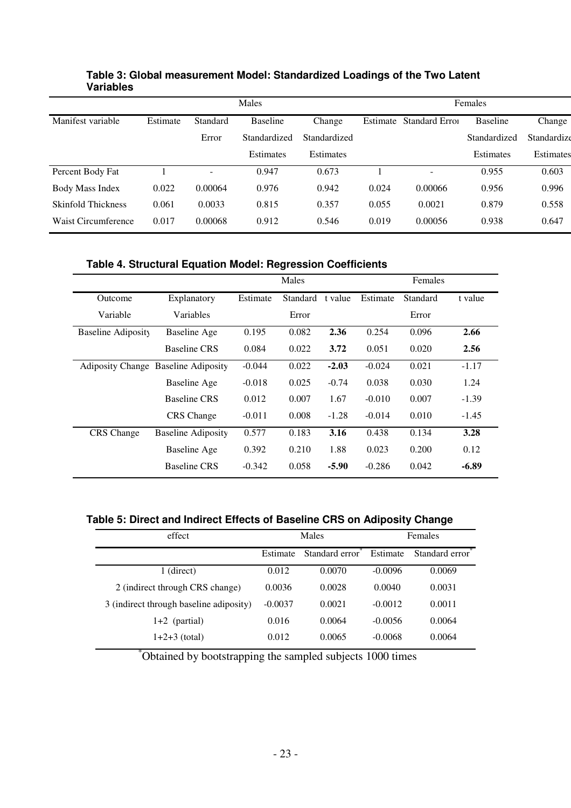|                           | Males    |                          |                 |              | Females  |               |                 |             |
|---------------------------|----------|--------------------------|-----------------|--------------|----------|---------------|-----------------|-------------|
| Manifest variable         | Estimate | Standard                 | <b>Baseline</b> | Change       | Estimate | Standard Erro | <b>Baseline</b> | Change      |
|                           |          | Error                    | Standardized    | Standardized |          |               | Standardized    | Standardize |
|                           |          |                          | Estimates       | Estimates    |          |               | Estimates       | Estimates   |
| Percent Body Fat          |          | $\overline{\phantom{a}}$ | 0.947           | 0.673        |          | -             | 0.955           | 0.603       |
| Body Mass Index           | 0.022    | 0.00064                  | 0.976           | 0.942        | 0.024    | 0.00066       | 0.956           | 0.996       |
| <b>Skinfold Thickness</b> | 0.061    | 0.0033                   | 0.815           | 0.357        | 0.055    | 0.0021        | 0.879           | 0.558       |
| Waist Circumference       | 0.017    | 0.00068                  | 0.912           | 0.546        | 0.019    | 0.00056       | 0.938           | 0.647       |

### **Table 3: Global measurement Model: Standardized Loadings of the Two Latent Variables**

## **Table 4. Structural Equation Model: Regression Coefficients**

|                    |                                            | Males    |          |         | Females  |          |         |
|--------------------|--------------------------------------------|----------|----------|---------|----------|----------|---------|
| Outcome            | Explanatory                                | Estimate | Standard | t value | Estimate | Standard | t value |
| Variable           | Variables                                  |          | Error    |         |          | Error    |         |
| Baseline Adiposity | Baseline Age                               | 0.195    | 0.082    | 2.36    | 0.254    | 0.096    | 2.66    |
|                    | <b>Baseline CRS</b>                        | 0.084    | 0.022    | 3.72    | 0.051    | 0.020    | 2.56    |
|                    | <b>Adiposity Change Baseline Adiposity</b> | $-0.044$ | 0.022    | $-2.03$ | $-0.024$ | 0.021    | $-1.17$ |
|                    | Baseline Age                               | $-0.018$ | 0.025    | $-0.74$ | 0.038    | 0.030    | 1.24    |
|                    | <b>Baseline CRS</b>                        | 0.012    | 0.007    | 1.67    | $-0.010$ | 0.007    | $-1.39$ |
|                    | <b>CRS</b> Change                          | $-0.011$ | 0.008    | $-1.28$ | $-0.014$ | 0.010    | $-1.45$ |
| <b>CRS</b> Change  | <b>Baseline Adiposity</b>                  | 0.577    | 0.183    | 3.16    | 0.438    | 0.134    | 3.28    |
|                    | Baseline Age                               | 0.392    | 0.210    | 1.88    | 0.023    | 0.200    | 0.12    |
|                    | <b>Baseline CRS</b>                        | $-0.342$ | 0.058    | $-5.90$ | $-0.286$ | 0.042    | $-6.89$ |

**Table 5: Direct and Indirect Effects of Baseline CRS on Adiposity Change** 

| effect                                  |           | <b>Males</b>                | Females   |                |  |
|-----------------------------------------|-----------|-----------------------------|-----------|----------------|--|
|                                         | Estimate  | Standard error <sup>*</sup> | Estimate  | Standard error |  |
| $1$ (direct)                            | 0.012     | 0.0070                      | $-0.0096$ | 0.0069         |  |
| 2 (indirect through CRS change)         | 0.0036    | 0.0028                      | 0.0040    | 0.0031         |  |
| 3 (indirect through baseline adiposity) | $-0.0037$ | 0.0021                      | $-0.0012$ | 0.0011         |  |
| $1+2$ (partial)                         | 0.016     | 0.0064                      | $-0.0056$ | 0.0064         |  |
| $1+2+3$ (total)                         | 0.012     | 0.0065                      | $-0.0068$ | 0.0064         |  |

\*Obtained by bootstrapping the sampled subjects 1000 times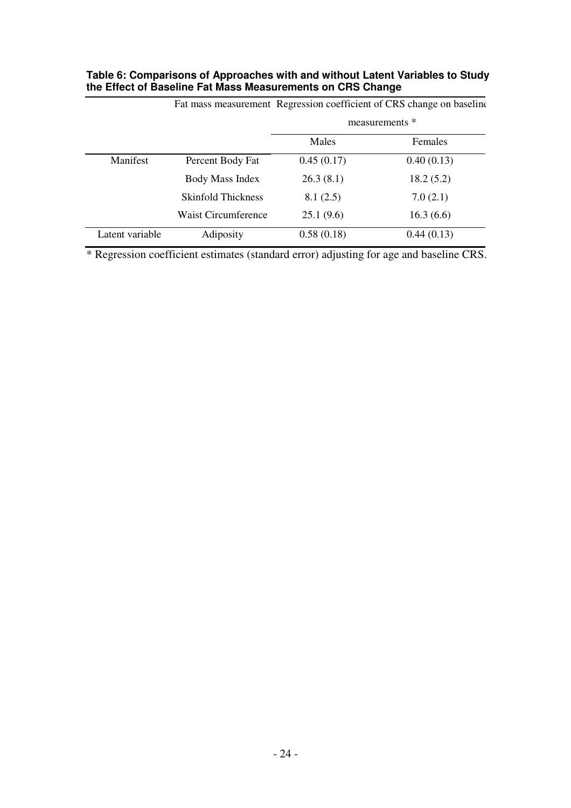| Table 6: Comparisons of Approaches with and without Latent Variables to Study |
|-------------------------------------------------------------------------------|
| the Effect of Baseline Fat Mass Measurements on CRS Change                    |

|                 | Fat mass measurement Regression coefficient of CRS change on baseline |                |                |  |  |
|-----------------|-----------------------------------------------------------------------|----------------|----------------|--|--|
|                 |                                                                       | measurements * |                |  |  |
|                 |                                                                       | Males          | <b>Females</b> |  |  |
| Manifest        | Percent Body Fat                                                      | 0.45(0.17)     | 0.40(0.13)     |  |  |
|                 | Body Mass Index                                                       | 26.3(8.1)      | 18.2(5.2)      |  |  |
|                 | Skinfold Thickness                                                    | 8.1(2.5)       | 7.0(2.1)       |  |  |
|                 | <b>Waist Circumference</b>                                            | 25.1(9.6)      | 16.3(6.6)      |  |  |
| Latent variable | Adiposity                                                             | 0.58(0.18)     | 0.44(0.13)     |  |  |

\* Regression coefficient estimates (standard error) adjusting for age and baseline CRS.